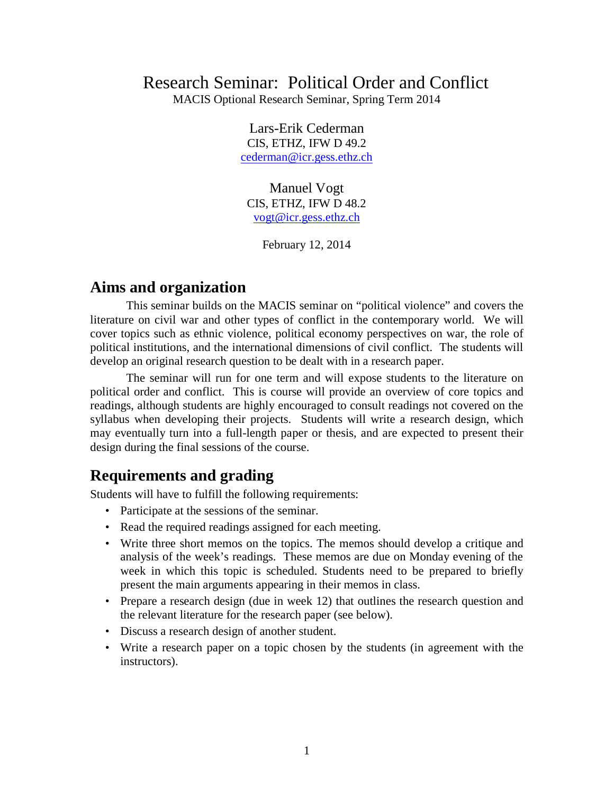# Research Seminar: Political Order and Conflict

MACIS Optional Research Seminar, Spring Term 2014

Lars-Erik Cederman CIS, ETHZ, IFW D 49.2 [cederman@icr.gess.ethz.ch](mailto:cederman@icr.gess.ethz.ch)

Manuel Vogt CIS, ETHZ, IFW D 48.2 [vogt@icr.gess.ethz.ch](mailto:vogt@icr.gess.ethz.ch)

February 12, 2014

### **Aims and organization**

This seminar builds on the MACIS seminar on "political violence" and covers the literature on civil war and other types of conflict in the contemporary world. We will cover topics such as ethnic violence, political economy perspectives on war, the role of political institutions, and the international dimensions of civil conflict. The students will develop an original research question to be dealt with in a research paper.

The seminar will run for one term and will expose students to the literature on political order and conflict. This is course will provide an overview of core topics and readings, although students are highly encouraged to consult readings not covered on the syllabus when developing their projects. Students will write a research design, which may eventually turn into a full-length paper or thesis, and are expected to present their design during the final sessions of the course.

## **Requirements and grading**

Students will have to fulfill the following requirements:

- Participate at the sessions of the seminar.
- Read the required readings assigned for each meeting.
- Write three short memos on the topics. The memos should develop a critique and analysis of the week's readings. These memos are due on Monday evening of the week in which this topic is scheduled. Students need to be prepared to briefly present the main arguments appearing in their memos in class.
- Prepare a research design (due in week 12) that outlines the research question and the relevant literature for the research paper (see below).
- Discuss a research design of another student.
- Write a research paper on a topic chosen by the students (in agreement with the instructors).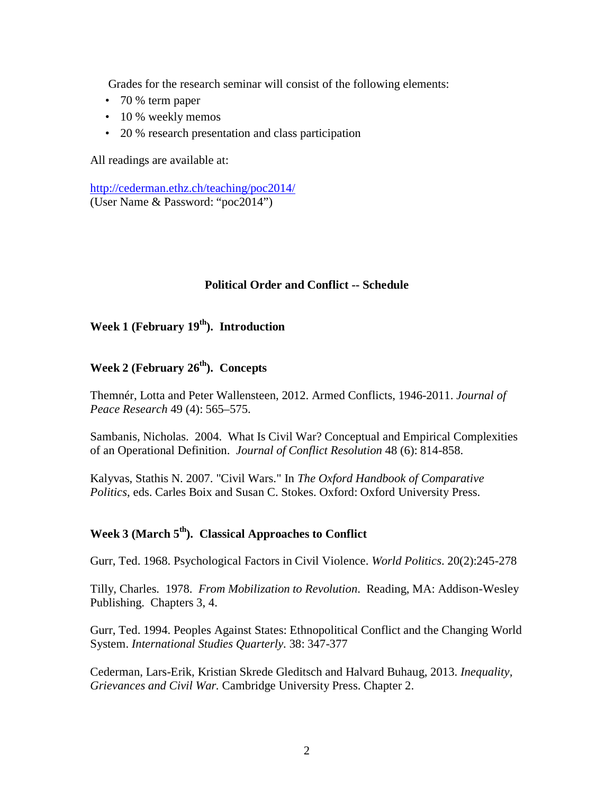Grades for the research seminar will consist of the following elements:

- 70 % term paper
- 10 % weekly memos
- 20 % research presentation and class participation

All readings are available at:

<http://cederman.ethz.ch/teaching/poc2014/> (User Name & Password: "poc2014")

#### **Political Order and Conflict -- Schedule**

#### Week 1 (February 19<sup>th</sup>). Introduction

## **Week 2 (February 26th). Concepts**

Themnér, Lotta and Peter Wallensteen, 2012. Armed Conflicts, 1946-2011. *Journal of Peace Research* 49 (4): 565–575.

Sambanis, Nicholas. 2004. What Is Civil War? Conceptual and Empirical Complexities of an Operational Definition. *Journal of Conflict Resolution* 48 (6): 814-858.

Kalyvas, Stathis N. 2007. "Civil Wars." In *The Oxford Handbook of Comparative Politics*, eds. Carles Boix and Susan C. Stokes. Oxford: Oxford University Press.

### **Week 3 (March 5th). Classical Approaches to Conflict**

Gurr, Ted. 1968. Psychological Factors in Civil Violence. *World Politics*. 20(2):245-278

Tilly, Charles. 1978. *From Mobilization to Revolution*. Reading, MA: Addison-Wesley Publishing. Chapters 3, 4.

Gurr, Ted. 1994. Peoples Against States: Ethnopolitical Conflict and the Changing World System. *International Studies Quarterly.* 38: 347-377

Cederman, Lars-Erik, Kristian Skrede Gleditsch and Halvard Buhaug, 2013. *Inequality, Grievances and Civil War.* Cambridge University Press. Chapter 2.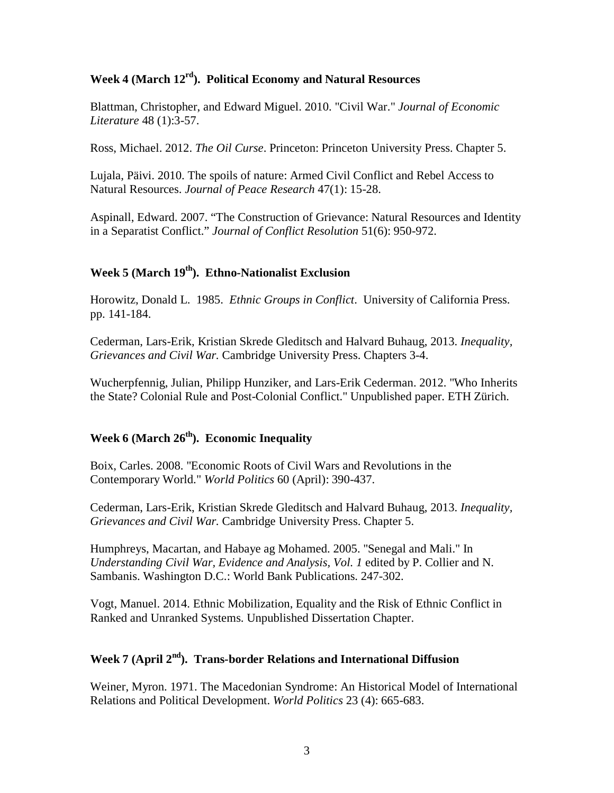#### **Week 4 (March 12rd). Political Economy and Natural Resources**

Blattman, Christopher, and Edward Miguel. 2010. "Civil War." *Journal of Economic Literature* 48 (1):3-57.

Ross, Michael. 2012. *The Oil Curse*. Princeton: Princeton University Press. Chapter 5.

Lujala, Päivi. 2010. The spoils of nature: Armed Civil Conflict and Rebel Access to Natural Resources. *Journal of Peace Research* 47(1): 15-28.

Aspinall, Edward. 2007. "The Construction of Grievance: Natural Resources and Identity in a Separatist Conflict." *Journal of Conflict Resolution* 51(6): 950-972.

#### **Week 5 (March 19th). Ethno-Nationalist Exclusion**

Horowitz, Donald L. 1985. *Ethnic Groups in Conflict*. University of California Press. pp. 141-184.

Cederman, Lars-Erik, Kristian Skrede Gleditsch and Halvard Buhaug, 2013. *Inequality, Grievances and Civil War.* Cambridge University Press. Chapters 3-4.

Wucherpfennig, Julian, Philipp Hunziker, and Lars-Erik Cederman. 2012. "Who Inherits the State? Colonial Rule and Post-Colonial Conflict." Unpublished paper. ETH Zürich.

### Week 6 (March  $26<sup>th</sup>$ ). Economic Inequality

Boix, Carles. 2008. "Economic Roots of Civil Wars and Revolutions in the Contemporary World." *World Politics* 60 (April): 390-437.

Cederman, Lars-Erik, Kristian Skrede Gleditsch and Halvard Buhaug, 2013. *Inequality, Grievances and Civil War.* Cambridge University Press. Chapter 5.

Humphreys, Macartan, and Habaye ag Mohamed. 2005. "Senegal and Mali." In *Understanding Civil War, Evidence and Analysis, Vol. 1* edited by P. Collier and N. Sambanis. Washington D.C.: World Bank Publications. 247-302.

Vogt, Manuel. 2014. Ethnic Mobilization, Equality and the Risk of Ethnic Conflict in Ranked and Unranked Systems. Unpublished Dissertation Chapter.

#### **Week 7 (April 2nd). Trans-border Relations and International Diffusion**

Weiner, Myron. 1971. The Macedonian Syndrome: An Historical Model of International Relations and Political Development. *World Politics* 23 (4): 665-683.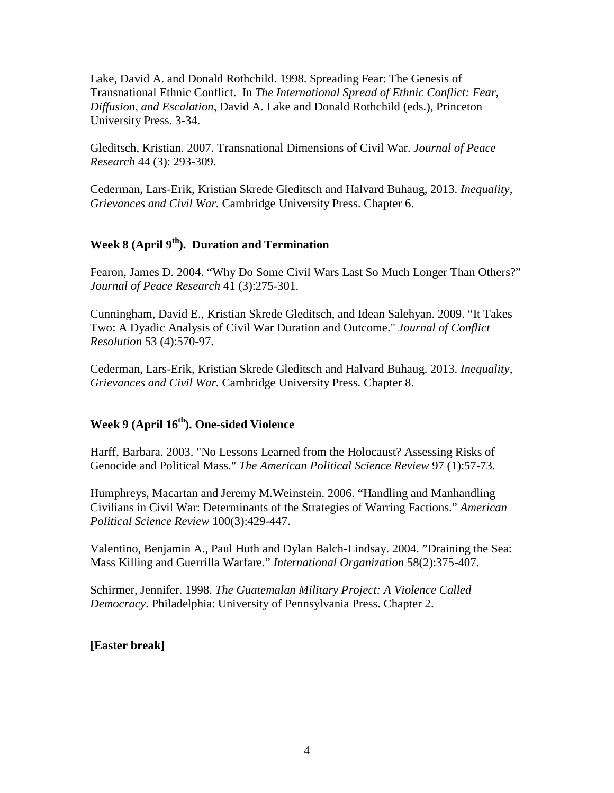Lake, David A. and Donald Rothchild. 1998. Spreading Fear: The Genesis of Transnational Ethnic Conflict. In *The International Spread of Ethnic Conflict: Fear, Diffusion, and Escalation*, David A. Lake and Donald Rothchild (eds.), Princeton University Press. 3-34.

Gleditsch, Kristian. 2007. Transnational Dimensions of Civil War. *Journal of Peace Research* 44 (3): 293-309.

Cederman, Lars-Erik, Kristian Skrede Gleditsch and Halvard Buhaug, 2013. *Inequality, Grievances and Civil War.* Cambridge University Press. Chapter 6.

#### **Week 8 (April 9th). Duration and Termination**

Fearon, James D. 2004. "Why Do Some Civil Wars Last So Much Longer Than Others?" *Journal of Peace Research* 41 (3):275-301.

Cunningham, David E., Kristian Skrede Gleditsch, and Idean Salehyan. 2009. "It Takes Two: A Dyadic Analysis of Civil War Duration and Outcome." *Journal of Conflict Resolution* 53 (4):570-97.

Cederman, Lars-Erik, Kristian Skrede Gleditsch and Halvard Buhaug. 2013. *Inequality, Grievances and Civil War.* Cambridge University Press. Chapter 8.

#### **Week 9 (April 16th). One-sided Violence**

Harff, Barbara. 2003. "No Lessons Learned from the Holocaust? Assessing Risks of Genocide and Political Mass." *The American Political Science Review* 97 (1):57-73.

Humphreys, Macartan and Jeremy M.Weinstein. 2006. "Handling and Manhandling Civilians in Civil War: Determinants of the Strategies of Warring Factions." *American Political Science Review* 100(3):429-447.

Valentino, Benjamin A., Paul Huth and Dylan Balch-Lindsay. 2004. "Draining the Sea: Mass Killing and Guerrilla Warfare." *International Organization* 58(2):375-407.

Schirmer, Jennifer. 1998. *The Guatemalan Military Project: A Violence Called Democracy*. Philadelphia: University of Pennsylvania Press. Chapter 2.

**[Easter break]**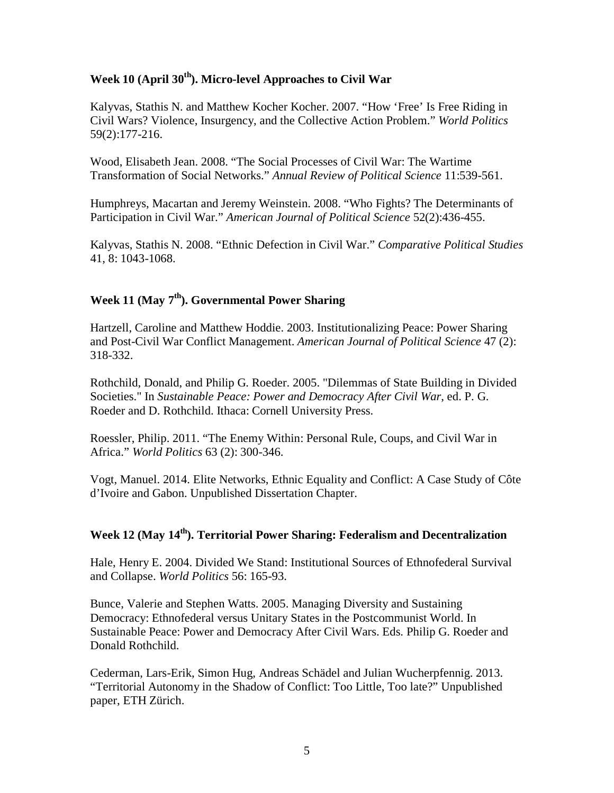#### **Week 10 (April 30th). Micro-level Approaches to Civil War**

Kalyvas, Stathis N. and Matthew Kocher Kocher. 2007. "How 'Free' Is Free Riding in Civil Wars? Violence, Insurgency, and the Collective Action Problem." *World Politics* 59(2):177-216.

Wood, Elisabeth Jean. 2008. "The Social Processes of Civil War: The Wartime Transformation of Social Networks." *Annual Review of Political Science* 11:539-561.

Humphreys, Macartan and Jeremy Weinstein. 2008. "Who Fights? The Determinants of Participation in Civil War." *American Journal of Political Science* 52(2):436-455.

Kalyvas, Stathis N. 2008. "Ethnic Defection in Civil War." *Comparative Political Studies* 41, 8: 1043-1068.

#### Week 11 (May 7<sup>th</sup>). Governmental Power Sharing

Hartzell, Caroline and Matthew Hoddie. 2003. Institutionalizing Peace: Power Sharing and Post-Civil War Conflict Management. *American Journal of Political Science* 47 (2): 318-332.

Rothchild, Donald, and Philip G. Roeder. 2005. "Dilemmas of State Building in Divided Societies." In *Sustainable Peace: Power and Democracy After Civil War*, ed. P. G. Roeder and D. Rothchild. Ithaca: Cornell University Press.

Roessler, Philip. 2011. "The Enemy Within: Personal Rule, Coups, and Civil War in Africa." *World Politics* 63 (2): 300-346.

Vogt, Manuel. 2014. Elite Networks, Ethnic Equality and Conflict: A Case Study of Côte d'Ivoire and Gabon. Unpublished Dissertation Chapter.

#### **Week 12 (May 14th). Territorial Power Sharing: Federalism and Decentralization**

Hale, Henry E. 2004. Divided We Stand: Institutional Sources of Ethnofederal Survival and Collapse. *World Politics* 56: 165-93.

Bunce, Valerie and Stephen Watts. 2005. Managing Diversity and Sustaining Democracy: Ethnofederal versus Unitary States in the Postcommunist World. In Sustainable Peace: Power and Democracy After Civil Wars. Eds. Philip G. Roeder and Donald Rothchild.

Cederman, Lars-Erik, Simon Hug, Andreas Schädel and Julian Wucherpfennig. 2013. "Territorial Autonomy in the Shadow of Conflict: Too Little, Too late?" Unpublished paper, ETH Zürich.